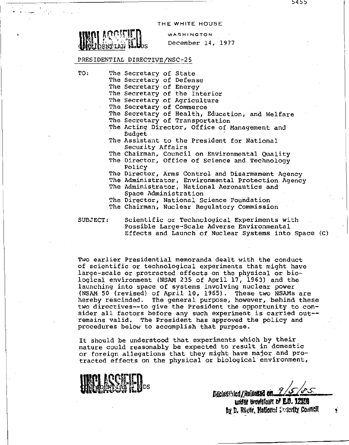THE WHITE HOUSE

ות דידוא

WASHINGTON December 14, 1977

## PRESIDENTIAL DIRECTIVE/NSC-25

 $\frac{1}{\sqrt{2}}$ 

- TO: The Secretary of State
	- The Secretary of Defense
	- The Secretary of Energy

The Secretary of the Interior

- The Secretary of Agriculture
- The Secretary of Commerce
- The Secretary of Health, Education, and Welfare
- The Secretary of Transportation
- The Acting Director, Office of Management and Budget
- The Assistant to the President for National Security Affairs
- The Chairman, Council on Environmental Quality
- The Director, Office of science and Technology Policy
- The Director, Arms Control and Disarmament Agency
- The Administrator, Environmental Protection Agency
- The Administrator, National Aeronautics and Space Administration
- The Director, National Science Foundation The Chairman, Nuclear Regulatory Commission

SUBJECT:

Scientific or Technological EXperiments with Possible Large-Scale Adverse Environmental Effects and Launch of Nuclear Systems into Space (C)

Two earlier Presidential memoranda dealt with the conduct of scientific or technological experiments that might have large-scale or protracted effects on the physical or biological environment (NSAM 235 of April 17, 1963) and the launching into space of systems involving nuclear power (NSAM 50 (revised) of April 10, 1965). These two NSAMs are hereby rescinded. The general purpose, however, behind these two directives--to give the President the opportunity to consider all factors before any such experiment is carried out-remains valid. The President has approved the policy and procedures below to accomplish that purpose.

It should be understood that experiments which by their nature could reasonably be expected to result in domestic or foreign allegations that they might have major and protracted effects on the physical or biological environment,



Declass ried / Released on under provisions of E.O. 12353 by D. Reger, National County Council

כנ4כ

I

~·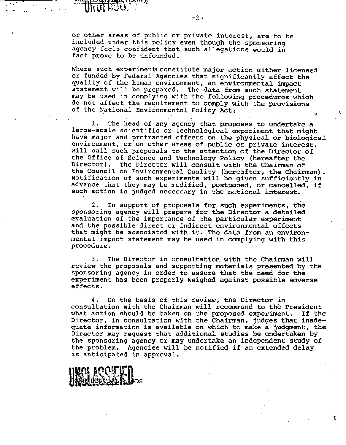or other areas of public or private interest, are to be included under this policy even though the sponsoring agency feels confident that such allegations would in fact prove to be unfounded.

**EUGE** 

Where such experiments constitute major action either licensed or funded by Federal Agencies that significantly affect the quality of the human environment, an environmental impact statement will be prepared. The data from such statement may be used in complying with the following procedures which do not affect the requirement to comply with the provisions of the National Environmental Policy Act:

1. The head of any agency that proposes to undertake a large-scale scientific or technological experiment that might have major and protracted effects on the physical or biological environment, or on other areas of public or private interest, will call such proposals to the attention of the Director of the Office of Science and Technology Policy (hereafter the Director). The Director will consult with the Chairman of The Director will consult with the Chairman of the Council on Environmental Quality (hereafter, the Chairman). Notification of such experiments will be given sufficiently in advance that they may be modified, postponed, or cancelled, if such action is judged necessary in the national interest.

2. In support of proposals for such experiments, the sponsoring agency will prepare for the Director a detailed evaluation of the importance of the particular experiment and the possible direct or indirect environmental effects that might be associated with it. The data from an environmental impact statement may be used in complying with this procedure.

3. The Director in consultation with. the Chairman will review the proposals and supporting materials presented by the sponsoring agency in order to assure that the need for the experiment has been properly weighed against possible adverse effects.

4. On the basis of this review, the Director in consultation with the Chairman will recommend to the President what action should be taken on the proposed experiment. If the Director, *in* consultation with the Chairman, judges that inadequate information is available on which to make a judgment, the Director may request that additional studies be undertaken by the sponsoring agency or may undertake an independent study of the problem. Agencies will be notified if an extended delay is anticipated in approval.

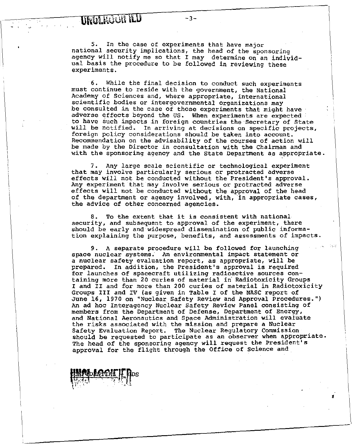**TINULFOUR TED** 

 $"$ 

5. In the case of experiments that have major national security implications, the head of the sponsoring agency will notify me so that I may determine on an individual basis the procedure to be followed in reviewing these experiments.

6. While the final decision to conduct such experiments must continue to reside with the government, the National Academy of Sciences and, where appropriate, international scientific bodies or intergovernmental organizations may be consulted in the case of those experiments that might have adverse effects beyond the US. When experiments are expected  $\ell$ *to* have such impacts in foreign countries the·Secretary of State will be notified. In arriving at decisions on specific projects, foreign policy considerations should be taken *into* account. Recommendation on the advisability of the courses of action will be made by the Director in consultation with the Chairman and with the sponsoring agency and the State Department as appropriate.

7. Any large scale scientific or technological experiment that may involve particularly serious or protracted adverse effects will not be conducted without the President's approval. Any experiment that may involve serious or protracted adverse effects *will* not be conducted without the approval of the head of the department or agency involved, with, in appropriate cases, the advice of other concerned agencies.

8. To the extent that it *is* consistent with national security, and subsequent to approval of the experiment, there should be early and widespread dissemination of public information explaining the purpose, benefits, and assessments of impacts.

9. A separate procedure will be followed for launching space nuclear systems. An environmental impact statement or a nuclear safety evaluation report, as appropriate, will be prepared. In addition, the President's approval is required for launches of spacecraft utilizing radioactive sources containing more than 20 curies of material in Radiotoxicity Groups I and II and for more than 200 curies of material in Radiotoxicity Groups III and IV (as given in Table I of the NASC report of June 16, 1970 on "Nuclear Safety Review and Approval Procedures.") An ad hoc Interagency Nuc1ear Safety Review Panel consisting of members from the Department of Defense, Department of Energy, and National Aeronautics and Space Administration will evaluate the risks associated with the mission and prepare a Nuclear should be requested to participate as an observer when appropriate. The head of the sponsoring agency will request the President's approval for the flight through the Office of science and

•

1318